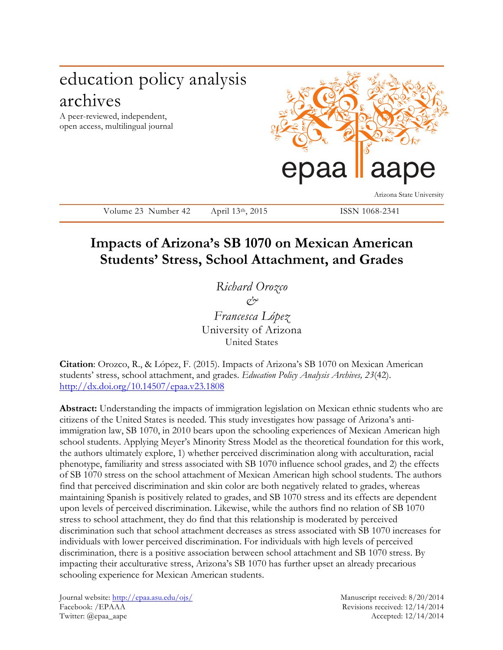# education policy analysis archives

A peer-reviewed, independent, open access, multilingual journal



Arizona State University

Volume 23 Number 42 April 13th, 2015 ISSN 1068-2341

## **Impacts of Arizona's SB 1070 on Mexican American Students' Stress, School Attachment, and Grades**

*Richard Orozco &*

*Francesca López* University of Arizona United States

**Citation**: Orozco, R., & López, F. (2015). Impacts of Arizona's SB 1070 on Mexican American students' stress, school attachment, and grades. *Education Policy Analysis Archives, 23*(42). http://dx.doi.org/10.14507/epaa.v23.1808

**Abstract:** Understanding the impacts of immigration legislation on Mexican ethnic students who are citizens of the United States is needed. This study investigates how passage of Arizona's antiimmigration law, SB 1070, in 2010 bears upon the schooling experiences of Mexican American high school students. Applying Meyer's Minority Stress Model as the theoretical foundation for this work, the authors ultimately explore, 1) whether perceived discrimination along with acculturation, racial phenotype, familiarity and stress associated with SB 1070 influence school grades, and 2) the effects of SB 1070 stress on the school attachment of Mexican American high school students. The authors find that perceived discrimination and skin color are both negatively related to grades, whereas maintaining Spanish is positively related to grades, and SB 1070 stress and its effects are dependent upon levels of perceived discrimination. Likewise, while the authors find no relation of SB 1070 stress to school attachment, they do find that this relationship is moderated by perceived discrimination such that school attachment decreases as stress associated with SB 1070 increases for individuals with lower perceived discrimination. For individuals with high levels of perceived discrimination, there is a positive association between school attachment and SB 1070 stress. By impacting their acculturative stress, Arizona's SB 1070 has further upset an already precarious schooling experience for Mexican American students.

Journal website: http://epaa.asu.edu/ojs/ Manuscript received: 8/20/2014 Facebook: /EPAAA Revisions received: 12/14/2014 Twitter: @epaa\_aape Accepted: 12/14/2014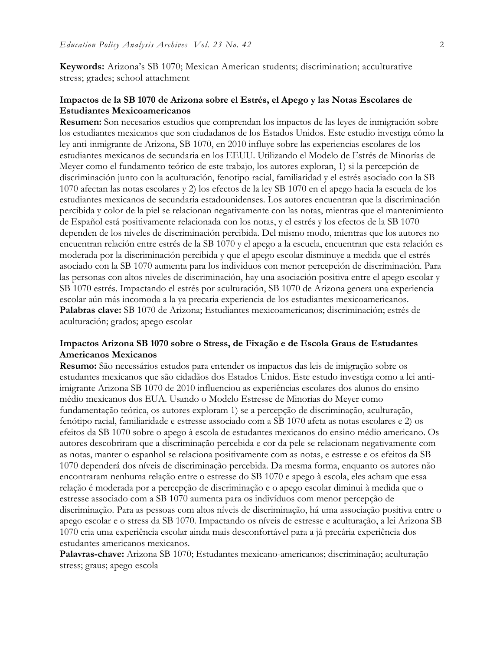**Keywords:** Arizona's SB 1070; Mexican American students; discrimination; acculturative stress; grades; school attachment

## **Impactos de la SB 1070 de Arizona sobre el Estrés, el Apego y las Notas Escolares de Estudiantes Mexicoamericanos**

**Resumen:** Son necesarios estudios que comprendan los impactos de las leyes de inmigración sobre los estudiantes mexicanos que son ciudadanos de los Estados Unidos. Este estudio investiga cómo la ley anti-inmigrante de Arizona, SB 1070, en 2010 influye sobre las experiencias escolares de los estudiantes mexicanos de secundaria en los EEUU. Utilizando el Modelo de Estrés de Minorías de Meyer como el fundamento teórico de este trabajo, los autores exploran, 1) si la percepción de discriminación junto con la aculturación, fenotipo racial, familiaridad y el estrés asociado con la SB 1070 afectan las notas escolares y 2) los efectos de la ley SB 1070 en el apego hacia la escuela de los estudiantes mexicanos de secundaria estadounidenses. Los autores encuentran que la discriminación percibida y color de la piel se relacionan negativamente con las notas, mientras que el mantenimiento de Español está positivamente relacionada con los notas, y el estrés y los efectos de la SB 1070 dependen de los niveles de discriminación percibida. Del mismo modo, mientras que los autores no encuentran relación entre estrés de la SB 1070 y el apego a la escuela, encuentran que esta relación es moderada por la discriminación percibida y que el apego escolar disminuye a medida que el estrés asociado con la SB 1070 aumenta para los individuos con menor percepción de discriminación. Para las personas con altos niveles de discriminación, hay una asociación positiva entre el apego escolar y SB 1070 estrés. Impactando el estrés por aculturación, SB 1070 de Arizona genera una experiencia escolar aún más incomoda a la ya precaria experiencia de los estudiantes mexicoamericanos. **Palabras clave:** SB 1070 de Arizona; Estudiantes mexicoamericanos; discriminación; estrés de aculturación; grados; apego escolar

## **Impactos Arizona SB 1070 sobre o Stress, de Fixação e de Escola Graus de Estudantes Americanos Mexicanos**

**Resumo:** São necessários estudos para entender os impactos das leis de imigração sobre os estudantes mexicanos que são cidadãos dos Estados Unidos. Este estudo investiga como a lei antiimigrante Arizona SB 1070 de 2010 influenciou as experiências escolares dos alunos do ensino médio mexicanos dos EUA. Usando o Modelo Estresse de Minorias do Meyer como fundamentação teórica, os autores exploram 1) se a percepção de discriminação, aculturação, fenótipo racial, familiaridade e estresse associado com a SB 1070 afeta as notas escolares e 2) os efeitos da SB 1070 sobre o apego à escola de estudantes mexicanos do ensino médio americano. Os autores descobriram que a discriminação percebida e cor da pele se relacionam negativamente com as notas, manter o espanhol se relaciona positivamente com as notas, e estresse e os efeitos da SB 1070 dependerá dos níveis de discriminação percebida. Da mesma forma, enquanto os autores não encontraram nenhuma relação entre o estresse do SB 1070 e apego à escola, eles acham que essa relação é moderada por a percepção de discriminação e o apego escolar diminui à medida que o estresse associado com a SB 1070 aumenta para os indivíduos com menor percepção de discriminação. Para as pessoas com altos níveis de discriminação, há uma associação positiva entre o apego escolar e o stress da SB 1070. Impactando os níveis de estresse e aculturação, a lei Arizona SB 1070 cria uma experiência escolar ainda mais desconfortável para a já precária experiência dos estudantes americanos mexicanos.

**Palavras-chave:** Arizona SB 1070; Estudantes mexicano-americanos; discriminação; aculturação stress; graus; apego escola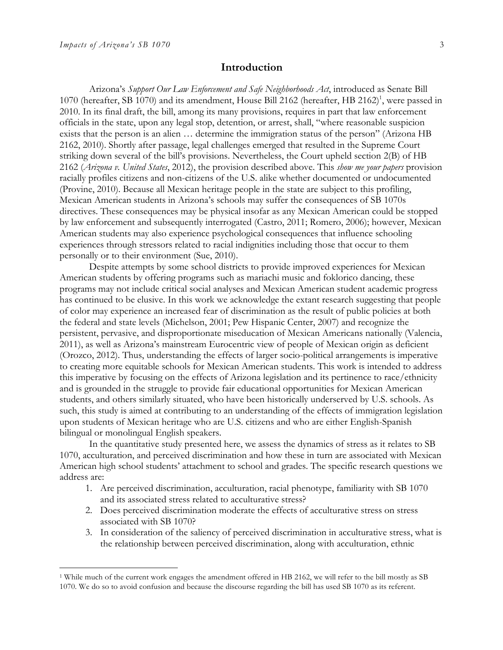## **Introduction**

Arizona's *Support Our Law Enforcement and Safe Neighborhoods Act*, introduced as Senate Bill 1070 (hereafter, SB 1070) and its amendment, House Bill 2162 (hereafter, HB 2162) 1 , were passed in 2010. In its final draft, the bill, among its many provisions, requires in part that law enforcement officials in the state, upon any legal stop, detention, or arrest, shall, "where reasonable suspicion exists that the person is an alien … determine the immigration status of the person" (Arizona HB 2162, 2010). Shortly after passage, legal challenges emerged that resulted in the Supreme Court striking down several of the bill's provisions. Nevertheless, the Court upheld section 2(B) of HB 2162 (*Arizona v. United States*, 2012), the provision described above. This *show me your papers* provision racially profiles citizens and non-citizens of the U.S. alike whether documented or undocumented (Provine, 2010). Because all Mexican heritage people in the state are subject to this profiling, Mexican American students in Arizona's schools may suffer the consequences of SB 1070s directives. These consequences may be physical insofar as any Mexican American could be stopped by law enforcement and subsequently interrogated (Castro, 2011; Romero, 2006); however, Mexican American students may also experience psychological consequences that influence schooling experiences through stressors related to racial indignities including those that occur to them personally or to their environment (Sue, 2010).

Despite attempts by some school districts to provide improved experiences for Mexican American students by offering programs such as mariachi music and foklorico dancing, these programs may not include critical social analyses and Mexican American student academic progress has continued to be elusive. In this work we acknowledge the extant research suggesting that people of color may experience an increased fear of discrimination as the result of public policies at both the federal and state levels (Michelson, 2001; Pew Hispanic Center, 2007) and recognize the persistent, pervasive, and disproportionate miseducation of Mexican Americans nationally (Valencia, 2011), as well as Arizona's mainstream Eurocentric view of people of Mexican origin as deficient (Orozco, 2012). Thus, understanding the effects of larger socio-political arrangements is imperative to creating more equitable schools for Mexican American students. This work is intended to address this imperative by focusing on the effects of Arizona legislation and its pertinence to race/ethnicity and is grounded in the struggle to provide fair educational opportunities for Mexican American students, and others similarly situated, who have been historically underserved by U.S. schools. As such, this study is aimed at contributing to an understanding of the effects of immigration legislation upon students of Mexican heritage who are U.S. citizens and who are either English-Spanish bilingual or monolingual English speakers.

In the quantitative study presented here, we assess the dynamics of stress as it relates to SB 1070, acculturation, and perceived discrimination and how these in turn are associated with Mexican American high school students' attachment to school and grades. The specific research questions we address are:

- 1. Are perceived discrimination, acculturation, racial phenotype, familiarity with SB 1070 and its associated stress related to acculturative stress?
- 2. Does perceived discrimination moderate the effects of acculturative stress on stress associated with SB 1070?
- 3. In consideration of the saliency of perceived discrimination in acculturative stress, what is the relationship between perceived discrimination, along with acculturation, ethnic

<sup>&</sup>lt;sup>1</sup> While much of the current work engages the amendment offered in HB 2162, we will refer to the bill mostly as SB 1070. We do so to avoid confusion and because the discourse regarding the bill has used SB 1070 as its referent.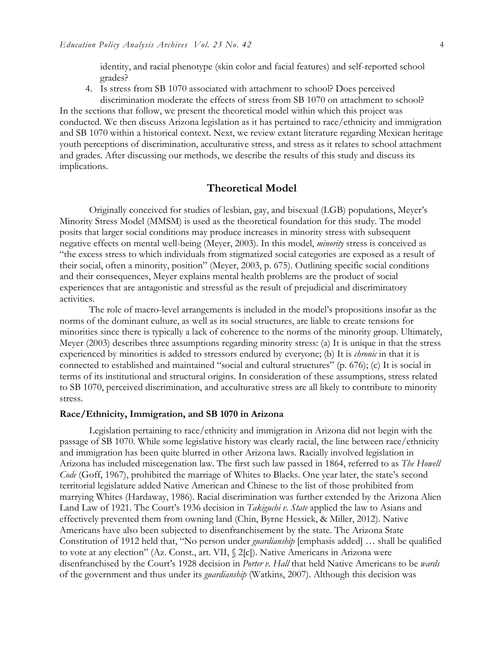identity, and racial phenotype (skin color and facial features) and self-reported school grades?

4. Is stress from SB 1070 associated with attachment to school? Does perceived discrimination moderate the effects of stress from SB 1070 on attachment to school?

In the sections that follow, we present the theoretical model within which this project was conducted. We then discuss Arizona legislation as it has pertained to race/ethnicity and immigration and SB 1070 within a historical context. Next, we review extant literature regarding Mexican heritage youth perceptions of discrimination, acculturative stress, and stress as it relates to school attachment and grades. After discussing our methods, we describe the results of this study and discuss its implications.

#### **Theoretical Model**

Originally conceived for studies of lesbian, gay, and bisexual (LGB) populations, Meyer's Minority Stress Model (MMSM) is used as the theoretical foundation for this study. The model posits that larger social conditions may produce increases in minority stress with subsequent negative effects on mental well-being (Meyer, 2003). In this model, *minority* stress is conceived as "the excess stress to which individuals from stigmatized social categories are exposed as a result of their social, often a minority, position" (Meyer, 2003, p. 675). Outlining specific social conditions and their consequences, Meyer explains mental health problems are the product of social experiences that are antagonistic and stressful as the result of prejudicial and discriminatory activities.

The role of macro-level arrangements is included in the model's propositions insofar as the norms of the dominant culture, as well as its social structures, are liable to create tensions for minorities since there is typically a lack of coherence to the norms of the minority group. Ultimately, Meyer (2003) describes three assumptions regarding minority stress: (a) It is unique in that the stress experienced by minorities is added to stressors endured by everyone; (b) It is *chronic* in that it is connected to established and maintained "social and cultural structures" (p. 676); (c) It is social in terms of its institutional and structural origins. In consideration of these assumptions, stress related to SB 1070, perceived discrimination, and acculturative stress are all likely to contribute to minority stress.

#### **Race/Ethnicity, Immigration, and SB 1070 in Arizona**

Legislation pertaining to race/ethnicity and immigration in Arizona did not begin with the passage of SB 1070. While some legislative history was clearly racial, the line between race/ethnicity and immigration has been quite blurred in other Arizona laws. Racially involved legislation in Arizona has included miscegenation law. The first such law passed in 1864, referred to as *The Howell Code* (Goff, 1967), prohibited the marriage of Whites to Blacks. One year later, the state's second territorial legislature added Native American and Chinese to the list of those prohibited from marrying Whites (Hardaway, 1986). Racial discrimination was further extended by the Arizona Alien Land Law of 1921. The Court's 1936 decision in *Takiguchi v. State* applied the law to Asians and effectively prevented them from owning land (Chin, Byrne Hessick, & Miller, 2012). Native Americans have also been subjected to disenfranchisement by the state. The Arizona State Constitution of 1912 held that, "No person under *guardianship* [emphasis added] … shall be qualified to vote at any election" (Az. Const., art. VII, § 2[c]). Native Americans in Arizona were disenfranchised by the Court's 1928 decision in *Porter v. Hall* that held Native Americans to be *wards* of the government and thus under its *guardianship* (Watkins, 2007). Although this decision was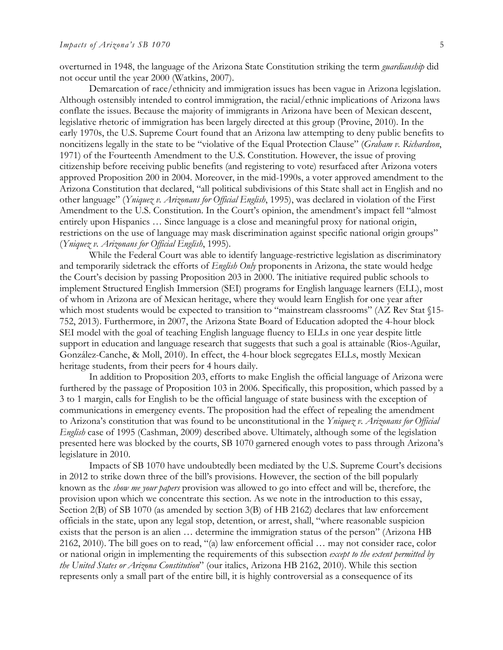overturned in 1948, the language of the Arizona State Constitution striking the term *guardianship* did not occur until the year 2000 (Watkins, 2007).

Demarcation of race/ethnicity and immigration issues has been vague in Arizona legislation. Although ostensibly intended to control immigration, the racial/ethnic implications of Arizona laws conflate the issues. Because the majority of immigrants in Arizona have been of Mexican descent, legislative rhetoric of immigration has been largely directed at this group (Provine, 2010). In the early 1970s, the U.S. Supreme Court found that an Arizona law attempting to deny public benefits to noncitizens legally in the state to be "violative of the Equal Protection Clause" (*Graham v. Richardson*, 1971) of the Fourteenth Amendment to the U.S. Constitution. However, the issue of proving citizenship before receiving public benefits (and registering to vote) resurfaced after Arizona voters approved Proposition 200 in 2004. Moreover, in the mid-1990s, a voter approved amendment to the Arizona Constitution that declared, "all political subdivisions of this State shall act in English and no other language" (*Yniquez v. Arizonans for Official English*, 1995), was declared in violation of the First Amendment to the U.S. Constitution. In the Court's opinion, the amendment's impact fell "almost entirely upon Hispanics … Since language is a close and meaningful proxy for national origin, restrictions on the use of language may mask discrimination against specific national origin groups" (*Yniquez v. Arizonans for Official English*, 1995).

While the Federal Court was able to identify language-restrictive legislation as discriminatory and temporarily sidetrack the efforts of *English Only* proponents in Arizona, the state would hedge the Court's decision by passing Proposition 203 in 2000. The initiative required public schools to implement Structured English Immersion (SEI) programs for English language learners (ELL), most of whom in Arizona are of Mexican heritage, where they would learn English for one year after which most students would be expected to transition to "mainstream classrooms" (AZ Rev Stat §15-752, 2013). Furthermore, in 2007, the Arizona State Board of Education adopted the 4-hour block SEI model with the goal of teaching English language fluency to ELLs in one year despite little support in education and language research that suggests that such a goal is attainable (Rios-Aguilar, González-Canche, & Moll, 2010). In effect, the 4-hour block segregates ELLs, mostly Mexican heritage students, from their peers for 4 hours daily.

In addition to Proposition 203, efforts to make English the official language of Arizona were furthered by the passage of Proposition 103 in 2006. Specifically, this proposition, which passed by a 3 to 1 margin, calls for English to be the official language of state business with the exception of communications in emergency events. The proposition had the effect of repealing the amendment to Arizona's constitution that was found to be unconstitutional in the *Yniquez v. Arizonans for Official English* case of 1995 (Cashman, 2009) described above. Ultimately, although some of the legislation presented here was blocked by the courts, SB 1070 garnered enough votes to pass through Arizona's legislature in 2010.

Impacts of SB 1070 have undoubtedly been mediated by the U.S. Supreme Court's decisions in 2012 to strike down three of the bill's provisions. However, the section of the bill popularly known as the *show me your papers* provision was allowed to go into effect and will be, therefore, the provision upon which we concentrate this section. As we note in the introduction to this essay, Section 2(B) of SB 1070 (as amended by section 3(B) of HB 2162) declares that law enforcement officials in the state, upon any legal stop, detention, or arrest, shall, "where reasonable suspicion exists that the person is an alien … determine the immigration status of the person" (Arizona HB 2162, 2010). The bill goes on to read, "(a) law enforcement official … may not consider race, color or national origin in implementing the requirements of this subsection *except to the extent permitted by the United States or Arizona Constitution*" (our italics, Arizona HB 2162, 2010). While this section represents only a small part of the entire bill, it is highly controversial as a consequence of its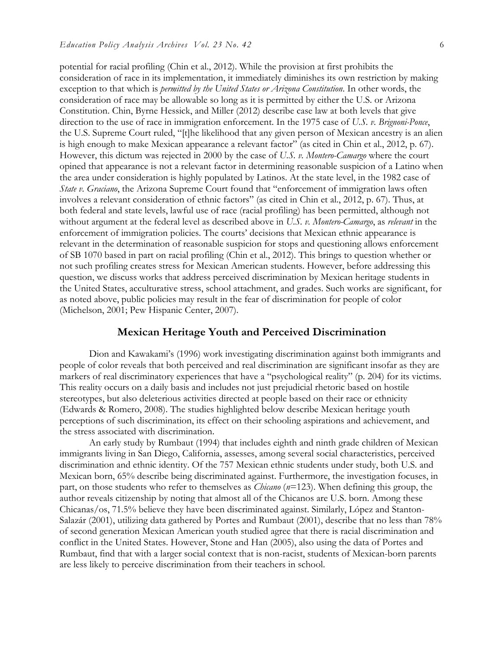potential for racial profiling (Chin et al., 2012). While the provision at first prohibits the consideration of race in its implementation, it immediately diminishes its own restriction by making exception to that which is *permitted by the United States or Arizona Constitution*. In other words, the consideration of race may be allowable so long as it is permitted by either the U.S. or Arizona Constitution. Chin, Byrne Hessick, and Miller (2012) describe case law at both levels that give direction to the use of race in immigration enforcement. In the 1975 case of *U.S. v. Brignoni-Ponce*, the U.S. Supreme Court ruled, "[t]he likelihood that any given person of Mexican ancestry is an alien is high enough to make Mexican appearance a relevant factor" (as cited in Chin et al., 2012, p. 67). However, this dictum was rejected in 2000 by the case of *U.S. v. Montero-Camargo* where the court opined that appearance is not a relevant factor in determining reasonable suspicion of a Latino when the area under consideration is highly populated by Latinos. At the state level, in the 1982 case of *State v. Graciano*, the Arizona Supreme Court found that "enforcement of immigration laws often involves a relevant consideration of ethnic factors" (as cited in Chin et al., 2012, p. 67). Thus, at both federal and state levels, lawful use of race (racial profiling) has been permitted, although not without argument at the federal level as described above in *U.S. v. Montero-Camargo*, as *relevant* in the enforcement of immigration policies. The courts' decisions that Mexican ethnic appearance is relevant in the determination of reasonable suspicion for stops and questioning allows enforcement of SB 1070 based in part on racial profiling (Chin et al., 2012). This brings to question whether or not such profiling creates stress for Mexican American students. However, before addressing this question, we discuss works that address perceived discrimination by Mexican heritage students in the United States, acculturative stress, school attachment, and grades. Such works are significant, for as noted above, public policies may result in the fear of discrimination for people of color (Michelson, 2001; Pew Hispanic Center, 2007).

### **Mexican Heritage Youth and Perceived Discrimination**

Dion and Kawakami's (1996) work investigating discrimination against both immigrants and people of color reveals that both perceived and real discrimination are significant insofar as they are markers of real discriminatory experiences that have a "psychological reality" (p. 204) for its victims. This reality occurs on a daily basis and includes not just prejudicial rhetoric based on hostile stereotypes, but also deleterious activities directed at people based on their race or ethnicity (Edwards & Romero, 2008). The studies highlighted below describe Mexican heritage youth perceptions of such discrimination, its effect on their schooling aspirations and achievement, and the stress associated with discrimination.

An early study by Rumbaut (1994) that includes eighth and ninth grade children of Mexican immigrants living in San Diego, California, assesses, among several social characteristics, perceived discrimination and ethnic identity. Of the 757 Mexican ethnic students under study, both U.S. and Mexican born, 65% describe being discriminated against. Furthermore, the investigation focuses, in part, on those students who refer to themselves as *Chicano* (*n*=123). When defining this group, the author reveals citizenship by noting that almost all of the Chicanos are U.S. born. Among these Chicanas/os, 71.5% believe they have been discriminated against. Similarly, López and Stanton-Salazár (2001), utilizing data gathered by Portes and Rumbaut (2001), describe that no less than 78% of second generation Mexican American youth studied agree that there is racial discrimination and conflict in the United States. However, Stone and Han (2005), also using the data of Portes and Rumbaut, find that with a larger social context that is non-racist, students of Mexican-born parents are less likely to perceive discrimination from their teachers in school.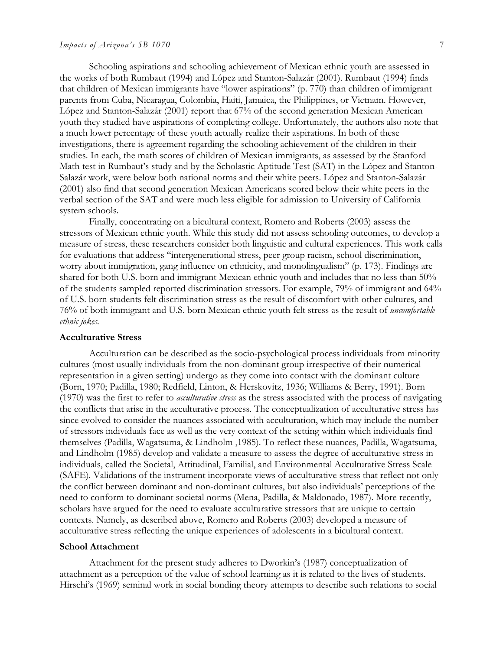#### *Impacts of Arizona's SB 1070* 7

Schooling aspirations and schooling achievement of Mexican ethnic youth are assessed in the works of both Rumbaut (1994) and López and Stanton-Salazár (2001). Rumbaut (1994) finds that children of Mexican immigrants have "lower aspirations" (p. 770) than children of immigrant parents from Cuba, Nicaragua, Colombia, Haiti, Jamaica, the Philippines, or Vietnam. However, López and Stanton-Salazár (2001) report that 67% of the second generation Mexican American youth they studied have aspirations of completing college. Unfortunately, the authors also note that a much lower percentage of these youth actually realize their aspirations. In both of these investigations, there is agreement regarding the schooling achievement of the children in their studies. In each, the math scores of children of Mexican immigrants, as assessed by the Stanford Math test in Rumbaut's study and by the Scholastic Aptitude Test (SAT) in the López and Stanton-Salazár work, were below both national norms and their white peers. López and Stanton-Salazár (2001) also find that second generation Mexican Americans scored below their white peers in the verbal section of the SAT and were much less eligible for admission to University of California system schools.

Finally, concentrating on a bicultural context, Romero and Roberts (2003) assess the stressors of Mexican ethnic youth. While this study did not assess schooling outcomes, to develop a measure of stress, these researchers consider both linguistic and cultural experiences. This work calls for evaluations that address "intergenerational stress, peer group racism, school discrimination, worry about immigration, gang influence on ethnicity, and monolingualism" (p. 173). Findings are shared for both U.S. born and immigrant Mexican ethnic youth and includes that no less than 50% of the students sampled reported discrimination stressors. For example, 79% of immigrant and 64% of U.S. born students felt discrimination stress as the result of discomfort with other cultures, and 76% of both immigrant and U.S. born Mexican ethnic youth felt stress as the result of *uncomfortable ethnic jokes*.

#### **Acculturative Stress**

Acculturation can be described as the socio-psychological process individuals from minority cultures (most usually individuals from the non-dominant group irrespective of their numerical representation in a given setting) undergo as they come into contact with the dominant culture (Born, 1970; Padilla, 1980; Redfield, Linton, & Herskovitz, 1936; Williams & Berry, 1991). Born (1970) was the first to refer to *acculturative stress* as the stress associated with the process of navigating the conflicts that arise in the acculturative process. The conceptualization of acculturative stress has since evolved to consider the nuances associated with acculturation, which may include the number of stressors individuals face as well as the very context of the setting within which individuals find themselves (Padilla, Wagatsuma, & Lindholm ,1985). To reflect these nuances, Padilla, Wagatsuma, and Lindholm (1985) develop and validate a measure to assess the degree of acculturative stress in individuals, called the Societal, Attitudinal, Familial, and Environmental Acculturative Stress Scale (SAFE). Validations of the instrument incorporate views of acculturative stress that reflect not only the conflict between dominant and non-dominant cultures, but also individuals' perceptions of the need to conform to dominant societal norms (Mena, Padilla, & Maldonado, 1987). More recently, scholars have argued for the need to evaluate acculturative stressors that are unique to certain contexts. Namely, as described above, Romero and Roberts (2003) developed a measure of acculturative stress reflecting the unique experiences of adolescents in a bicultural context.

#### **School Attachment**

Attachment for the present study adheres to Dworkin's (1987) conceptualization of attachment as a perception of the value of school learning as it is related to the lives of students. Hirschi's (1969) seminal work in social bonding theory attempts to describe such relations to social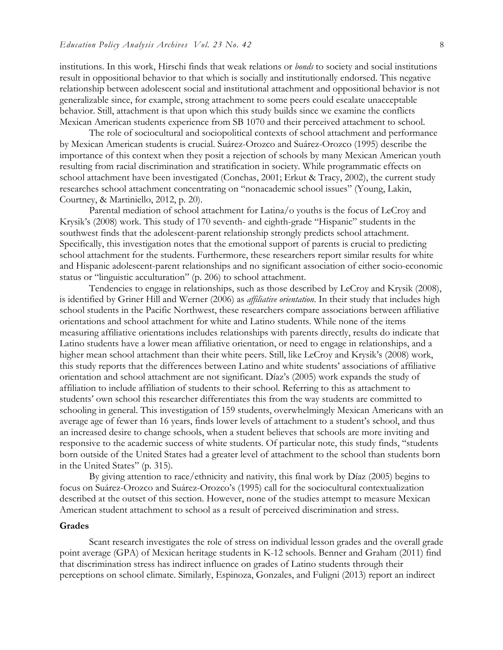institutions. In this work, Hirschi finds that weak relations or *bonds* to society and social institutions result in oppositional behavior to that which is socially and institutionally endorsed. This negative relationship between adolescent social and institutional attachment and oppositional behavior is not generalizable since, for example, strong attachment to some peers could escalate unacceptable behavior. Still, attachment is that upon which this study builds since we examine the conflicts Mexican American students experience from SB 1070 and their perceived attachment to school.

The role of sociocultural and sociopolitical contexts of school attachment and performance by Mexican American students is crucial. Suárez-Orozco and Suárez-Orozco (1995) describe the importance of this context when they posit a rejection of schools by many Mexican American youth resulting from racial discrimination and stratification in society. While programmatic effects on school attachment have been investigated (Conchas, 2001; Erkut & Tracy, 2002), the current study researches school attachment concentrating on "nonacademic school issues" (Young, Lakin, Courtney, & Martiniello, 2012, p. 20).

Parental mediation of school attachment for Latina/o youths is the focus of LeCroy and Krysik's (2008) work. This study of 170 seventh- and eighth-grade "Hispanic" students in the southwest finds that the adolescent-parent relationship strongly predicts school attachment. Specifically, this investigation notes that the emotional support of parents is crucial to predicting school attachment for the students. Furthermore, these researchers report similar results for white and Hispanic adolescent-parent relationships and no significant association of either socio-economic status or "linguistic acculturation" (p. 206) to school attachment.

Tendencies to engage in relationships, such as those described by LeCroy and Krysik (2008), is identified by Griner Hill and Werner (2006) as *affiliative orientation*. In their study that includes high school students in the Pacific Northwest, these researchers compare associations between affiliative orientations and school attachment for white and Latino students. While none of the items measuring affiliative orientations includes relationships with parents directly, results do indicate that Latino students have a lower mean affiliative orientation, or need to engage in relationships, and a higher mean school attachment than their white peers. Still, like LeCroy and Krysik's (2008) work, this study reports that the differences between Latino and white students' associations of affiliative orientation and school attachment are not significant. Díaz's (2005) work expands the study of affiliation to include affiliation of students to their school. Referring to this as attachment to students' own school this researcher differentiates this from the way students are committed to schooling in general. This investigation of 159 students, overwhelmingly Mexican Americans with an average age of fewer than 16 years, finds lower levels of attachment to a student's school, and thus an increased desire to change schools, when a student believes that schools are more inviting and responsive to the academic success of white students. Of particular note, this study finds, "students born outside of the United States had a greater level of attachment to the school than students born in the United States" (p. 315).

By giving attention to race/ethnicity and nativity, this final work by Díaz (2005) begins to focus on Suárez-Orozco and Suárez-Orozco's (1995) call for the sociocultural contextualization described at the outset of this section. However, none of the studies attempt to measure Mexican American student attachment to school as a result of perceived discrimination and stress.

#### **Grades**

Scant research investigates the role of stress on individual lesson grades and the overall grade point average (GPA) of Mexican heritage students in K-12 schools. Benner and Graham (2011) find that discrimination stress has indirect influence on grades of Latino students through their perceptions on school climate. Similarly, Espinoza, Gonzales, and Fuligni (2013) report an indirect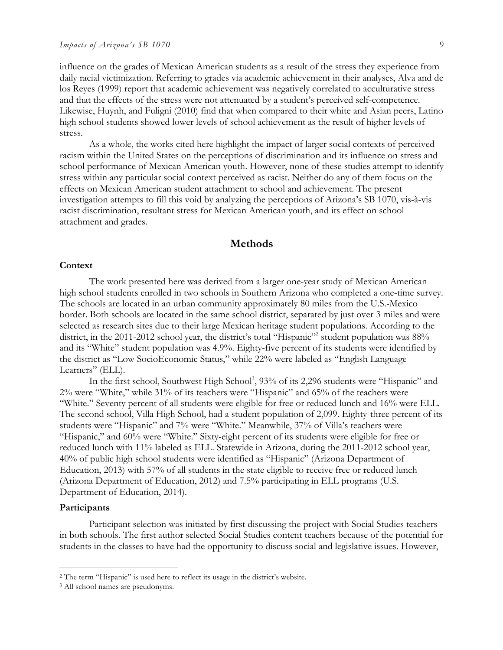influence on the grades of Mexican American students as a result of the stress they experience from daily racial victimization. Referring to grades via academic achievement in their analyses, Alva and de los Reyes (1999) report that academic achievement was negatively correlated to acculturative stress and that the effects of the stress were not attenuated by a student's perceived self-competence. Likewise, Huynh, and Fuligni (2010) find that when compared to their white and Asian peers, Latino high school students showed lower levels of school achievement as the result of higher levels of stress.

As a whole, the works cited here highlight the impact of larger social contexts of perceived racism within the United States on the perceptions of discrimination and its influence on stress and school performance of Mexican American youth. However, none of these studies attempt to identify stress within any particular social context perceived as racist. Neither do any of them focus on the effects on Mexican American student attachment to school and achievement. The present investigation attempts to fill this void by analyzing the perceptions of Arizona's SB 1070, vis-à-vis racist discrimination, resultant stress for Mexican American youth, and its effect on school attachment and grades.

## **Methods**

#### **Context**

The work presented here was derived from a larger one-year study of Mexican American high school students enrolled in two schools in Southern Arizona who completed a one-time survey. The schools are located in an urban community approximately 80 miles from the U.S.-Mexico border. Both schools are located in the same school district, separated by just over 3 miles and were selected as research sites due to their large Mexican heritage student populations. According to the district, in the 2011-2012 school year, the district's total "Hispanic"<sup>2</sup> student population was 88% and its "White" student population was 4.9%. Eighty-five percent of its students were identified by the district as "Low SocioEconomic Status," while 22% were labeled as "English Language Learners" (ELL).

In the first school, Southwest High School<sup>3</sup>, 93% of its 2,296 students were "Hispanic" and 2% were "White," while 31% of its teachers were "Hispanic" and 65% of the teachers were "White." Seventy percent of all students were eligible for free or reduced lunch and 16% were ELL. The second school, Villa High School, had a student population of 2,099. Eighty-three percent of its students were "Hispanic" and 7% were "White." Meanwhile, 37% of Villa's teachers were "Hispanic," and 60% were "White." Sixty-eight percent of its students were eligible for free or reduced lunch with 11% labeled as ELL. Statewide in Arizona, during the 2011-2012 school year, 40% of public high school students were identified as "Hispanic" (Arizona Department of Education, 2013) with 57% of all students in the state eligible to receive free or reduced lunch (Arizona Department of Education, 2012) and 7.5% participating in ELL programs (U.S. Department of Education, 2014).

#### **Participants**

Participant selection was initiated by first discussing the project with Social Studies teachers in both schools. The first author selected Social Studies content teachers because of the potential for students in the classes to have had the opportunity to discuss social and legislative issues. However,

 <sup>2</sup> The term "Hispanic" is used here to reflect its usage in the district's website.

<sup>3</sup> All school names are pseudonyms.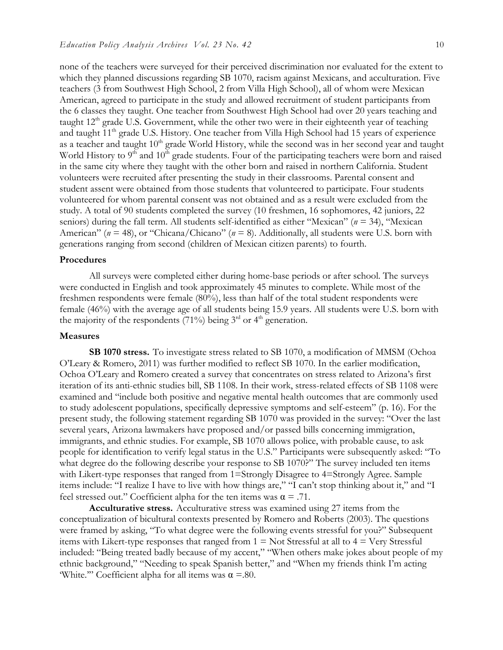none of the teachers were surveyed for their perceived discrimination nor evaluated for the extent to which they planned discussions regarding SB 1070, racism against Mexicans, and acculturation. Five teachers (3 from Southwest High School, 2 from Villa High School), all of whom were Mexican American, agreed to participate in the study and allowed recruitment of student participants from the 6 classes they taught. One teacher from Southwest High School had over 20 years teaching and taught  $12<sup>th</sup>$  grade U.S. Government, while the other two were in their eighteenth year of teaching and taught 11<sup>th</sup> grade U.S. History. One teacher from Villa High School had 15 years of experience as a teacher and taught  $10<sup>th</sup>$  grade World History, while the second was in her second year and taught World History to  $9<sup>th</sup>$  and  $10<sup>th</sup>$  grade students. Four of the participating teachers were born and raised in the same city where they taught with the other born and raised in northern California. Student volunteers were recruited after presenting the study in their classrooms. Parental consent and student assent were obtained from those students that volunteered to participate. Four students volunteered for whom parental consent was not obtained and as a result were excluded from the study. A total of 90 students completed the survey (10 freshmen, 16 sophomores, 42 juniors, 22 seniors) during the fall term. All students self-identified as either "Mexican" (*n* = 34), "Mexican American" (*n* = 48), or "Chicana/Chicano" (*n* = 8). Additionally, all students were U.S. born with generations ranging from second (children of Mexican citizen parents) to fourth.

#### **Procedures**

All surveys were completed either during home-base periods or after school. The surveys were conducted in English and took approximately 45 minutes to complete. While most of the freshmen respondents were female (80%), less than half of the total student respondents were female (46%) with the average age of all students being 15.9 years. All students were U.S. born with the majority of the respondents (71%) being  $3<sup>rd</sup>$  or  $4<sup>th</sup>$  generation.

#### **Measures**

**SB 1070 stress.**To investigate stress related to SB 1070, a modification of MMSM (Ochoa O'Leary & Romero, 2011) was further modified to reflect SB 1070. In the earlier modification, Ochoa O'Leary and Romero created a survey that concentrates on stress related to Arizona's first iteration of its anti-ethnic studies bill, SB 1108. In their work, stress-related effects of SB 1108 were examined and "include both positive and negative mental health outcomes that are commonly used to study adolescent populations, specifically depressive symptoms and self-esteem" (p. 16). For the present study, the following statement regarding SB 1070 was provided in the survey: "Over the last several years, Arizona lawmakers have proposed and/or passed bills concerning immigration, immigrants, and ethnic studies. For example, SB 1070 allows police, with probable cause, to ask people for identification to verify legal status in the U.S." Participants were subsequently asked: "To what degree do the following describe your response to SB 1070?" The survey included ten items with Likert-type responses that ranged from 1=Strongly Disagree to 4=Strongly Agree. Sample items include: "I realize I have to live with how things are," "I can't stop thinking about it," and "I feel stressed out." Coefficient alpha for the ten items was  $\alpha = .71$ .

**Acculturative stress.**Acculturative stress was examined using 27 items from the conceptualization of bicultural contexts presented by Romero and Roberts (2003). The questions were framed by asking, "To what degree were the following events stressful for you?" Subsequent items with Likert-type responses that ranged from  $1 = Not Stressful$  at all to  $4 = Very Stressful$ included: "Being treated badly because of my accent," "When others make jokes about people of my ethnic background," "Needing to speak Spanish better," and "When my friends think I'm acting 'White.'" Coefficient alpha for all items was  $\alpha = 0.80$ .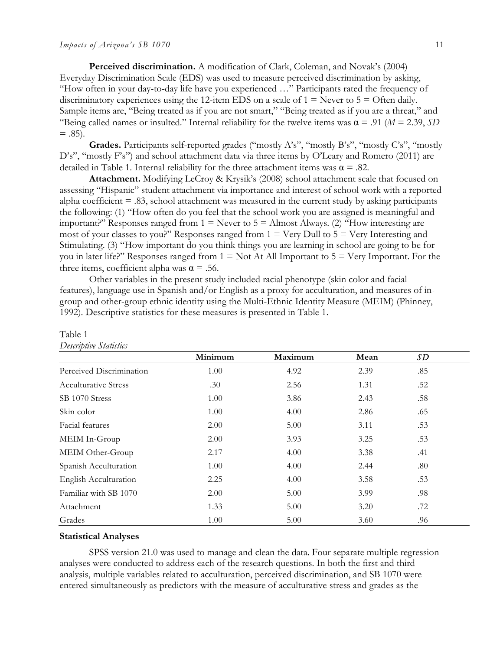**Perceived discrimination.** A modification of Clark, Coleman, and Novak's (2004) Everyday Discrimination Scale (EDS) was used to measure perceived discrimination by asking, "How often in your day-to-day life have you experienced …" Participants rated the frequency of discriminatory experiences using the 12-item EDS on a scale of  $1 =$  Never to  $5 =$  Often daily. Sample items are, "Being treated as if you are not smart," "Being treated as if you are a threat," and "Being called names or insulted." Internal reliability for the twelve items was  $\alpha = .91$  ( $M = 2.39$ , *SD*)  $= .85$ ).

Grades. Participants self-reported grades ("mostly A's", "mostly B's", "mostly C's", "mostly D's", "mostly F's") and school attachment data via three items by O'Leary and Romero (2011) are detailed in Table 1. Internal reliability for the three attachment items was  $\alpha = .82$ .

**Attachment.** Modifying LeCroy & Krysik's (2008) school attachment scale that focused on assessing "Hispanic" student attachment via importance and interest of school work with a reported alpha coefficient  $= .83$ , school attachment was measured in the current study by asking participants the following: (1) "How often do you feel that the school work you are assigned is meaningful and important?" Responses ranged from  $1 =$  Never to  $5 =$  Almost Always. (2) "How interesting are most of your classes to you?" Responses ranged from  $1 = \text{Very Dull}$  to  $5 = \text{Very Intersing}$  and Stimulating. (3) "How important do you think things you are learning in school are going to be for you in later life?" Responses ranged from  $1 = Not At All Important to 5 = Very Important. For the$ three items, coefficient alpha was  $\alpha = .56$ .

Other variables in the present study included racial phenotype (skin color and facial features), language use in Spanish and/or English as a proxy for acculturation, and measures of ingroup and other-group ethnic identity using the Multi-Ethnic Identity Measure (MEIM) (Phinney, 1992). Descriptive statistics for these measures is presented in Table 1.

| Dustipped seams             |         |         |      |     |  |
|-----------------------------|---------|---------|------|-----|--|
|                             | Minimum | Maximum | Mean | SD  |  |
| Perceived Discrimination    | 1.00    | 4.92    | 2.39 | .85 |  |
| <b>Acculturative Stress</b> | .30     | 2.56    | 1.31 | .52 |  |
| SB 1070 Stress              | 1.00    | 3.86    | 2.43 | .58 |  |
| Skin color                  | 1.00    | 4.00    | 2.86 | .65 |  |
| Facial features             | 2.00    | 5.00    | 3.11 | .53 |  |
| MEIM In-Group               | 2.00    | 3.93    | 3.25 | .53 |  |
| MEIM Other-Group            | 2.17    | 4.00    | 3.38 | .41 |  |
| Spanish Acculturation       | 1.00    | 4.00    | 2.44 | .80 |  |
| English Acculturation       | 2.25    | 4.00    | 3.58 | .53 |  |
| Familiar with SB 1070       | 2.00    | 5.00    | 3.99 | .98 |  |
| Attachment                  | 1.33    | 5.00    | 3.20 | .72 |  |
| Grades                      | 1.00    | 5.00    | 3.60 | .96 |  |

| Table 1                |  |
|------------------------|--|
| Descriptive Statistics |  |

### **Statistical Analyses**

SPSS version 21.0 was used to manage and clean the data. Four separate multiple regression analyses were conducted to address each of the research questions. In both the first and third analysis, multiple variables related to acculturation, perceived discrimination, and SB 1070 were entered simultaneously as predictors with the measure of acculturative stress and grades as the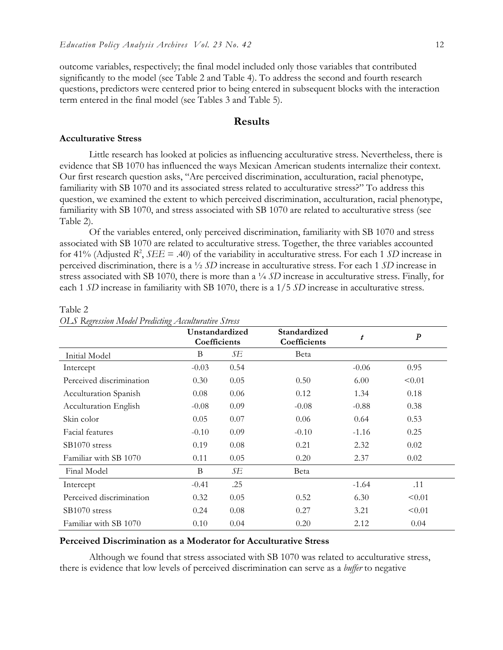outcome variables, respectively; the final model included only those variables that contributed significantly to the model (see Table 2 and Table 4). To address the second and fourth research questions, predictors were centered prior to being entered in subsequent blocks with the interaction term entered in the final model (see Tables 3 and Table 5).

## **Results**

#### **Acculturative Stress**

Little research has looked at policies as influencing acculturative stress. Nevertheless, there is evidence that SB 1070 has influenced the ways Mexican American students internalize their context. Our first research question asks, "Are perceived discrimination, acculturation, racial phenotype, familiarity with SB 1070 and its associated stress related to acculturative stress?" To address this question, we examined the extent to which perceived discrimination, acculturation, racial phenotype, familiarity with SB 1070, and stress associated with SB 1070 are related to acculturative stress (see Table 2).

Of the variables entered, only perceived discrimination, familiarity with SB 1070 and stress associated with SB 1070 are related to acculturative stress. Together, the three variables accounted for 41% (Adjusted  $R^2$ , *SEE* = .40) of the variability in acculturative stress. For each 1 *SD* increase in perceived discrimination, there is a ½ *SD* increase in acculturative stress. For each 1 *SD* increase in stress associated with SB 1070, there is more than a ¼ *SD* increase in acculturative stress. Finally, for each 1 *SD* increase in familiarity with SB 1070, there is a 1/5 *SD* increase in acculturative stress.

|                              | Unstandardized<br>Coefficients |      | Standardized<br>Coefficients | t       | $\boldsymbol{P}$ |
|------------------------------|--------------------------------|------|------------------------------|---------|------------------|
| Initial Model                | B                              | SЕ   | Beta                         |         |                  |
| Intercept                    | $-0.03$                        | 0.54 |                              | $-0.06$ | 0.95             |
| Perceived discrimination     | 0.30                           | 0.05 | 0.50                         | 6.00    | < 0.01           |
| Acculturation Spanish        | 0.08                           | 0.06 | 0.12                         | 1.34    | 0.18             |
| <b>Acculturation English</b> | $-0.08$                        | 0.09 | $-0.08$                      | $-0.88$ | 0.38             |
| Skin color                   | 0.05                           | 0.07 | 0.06                         | 0.64    | 0.53             |
| Facial features              | $-0.10$                        | 0.09 | $-0.10$                      | $-1.16$ | 0.25             |
| SB <sub>1070</sub> stress    | 0.19                           | 0.08 | 0.21                         | 2.32    | 0.02             |
| Familiar with SB 1070        | 0.11                           | 0.05 | 0.20                         | 2.37    | 0.02             |
| Final Model                  | $\bf{B}$                       | SE   | Beta                         |         |                  |
| Intercept                    | $-0.41$                        | .25  |                              | $-1.64$ | .11              |
| Perceived discrimination     | 0.32                           | 0.05 | 0.52                         | 6.30    | < 0.01           |
| SB1070 stress                | 0.24                           | 0.08 | 0.27                         | 3.21    | < 0.01           |
| Familiar with SB 1070        | 0.10                           | 0.04 | 0.20                         | 2.12    | 0.04             |

#### Table 2

|  |  | OLS Regression Model Predicting Acculturative Stress |  |  |  |  |
|--|--|------------------------------------------------------|--|--|--|--|
|  |  |                                                      |  |  |  |  |

#### **Perceived Discrimination as a Moderator for Acculturative Stress**

Although we found that stress associated with SB 1070 was related to acculturative stress, there is evidence that low levels of perceived discrimination can serve as a *buffer* to negative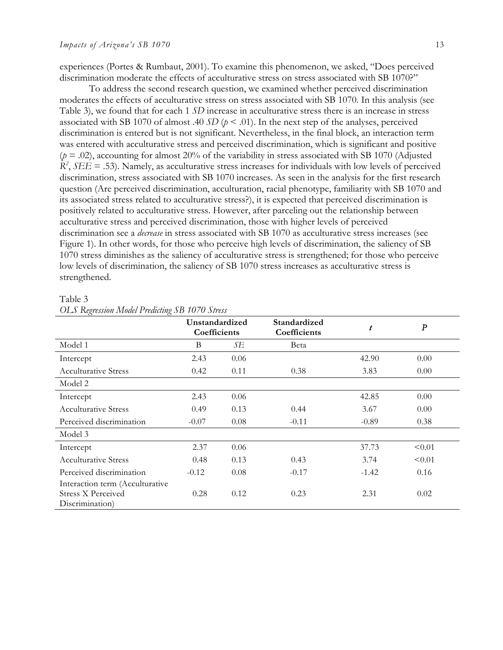experiences (Portes & Rumbaut, 2001). To examine this phenomenon, we asked, "Does perceived discrimination moderate the effects of acculturative stress on stress associated with SB 1070?"

To address the second research question, we examined whether perceived discrimination moderates the effects of acculturative stress on stress associated with SB 1070. In this analysis (see Table 3), we found that for each 1 *SD* increase in acculturative stress there is an increase in stress associated with SB 1070 of almost .40  $SD$  ( $p < .01$ ). In the next step of the analyses, perceived discrimination is entered but is not significant. Nevertheless, in the final block, an interaction term was entered with acculturative stress and perceived discrimination, which is significant and positive  $(p = .02)$ , accounting for almost 20% of the variability in stress associated with SB 1070 (Adjusted  $R^2$ , *SEE* = .53). Namely, as acculturative stress increases for individuals with low levels of perceived discrimination, stress associated with SB 1070 increases. As seen in the analysis for the first research question (Are perceived discrimination, acculturation, racial phenotype, familiarity with SB 1070 and its associated stress related to acculturative stress?), it is expected that perceived discrimination is positively related to acculturative stress. However, after parceling out the relationship between acculturative stress and perceived discrimination, those with higher levels of perceived discrimination see a *decrease* in stress associated with SB 1070 as acculturative stress increases (see Figure 1). In other words, for those who perceive high levels of discrimination, the saliency of SB 1070 stress diminishes as the saliency of acculturative stress is strengthened; for those who perceive low levels of discrimination, the saliency of SB 1070 stress increases as acculturative stress is strengthened.

#### Table 3

|                                 | Unstandardized<br>Coefficients |      | Standardized<br>Coefficients | t       | $\boldsymbol{P}$ |
|---------------------------------|--------------------------------|------|------------------------------|---------|------------------|
| Model 1                         | B                              | SЕ   | Beta                         |         |                  |
| Intercept                       | 2.43                           | 0.06 |                              | 42.90   | 0.00             |
| <b>Acculturative Stress</b>     | 0.42                           | 0.11 | 0.38                         | 3.83    | 0.00             |
| Model 2                         |                                |      |                              |         |                  |
| Intercept                       | 2.43                           | 0.06 |                              | 42.85   | 0.00             |
| <b>Acculturative Stress</b>     | 0.49                           | 0.13 | 0.44                         | 3.67    | 0.00             |
| Perceived discrimination        | $-0.07$                        | 0.08 | $-0.11$                      | $-0.89$ | 0.38             |
| Model 3                         |                                |      |                              |         |                  |
| Intercept                       | 2.37                           | 0.06 |                              | 37.73   | < 0.01           |
| Acculturative Stress            | 0.48                           | 0.13 | 0.43                         | 3.74    | < 0.01           |
| Perceived discrimination        | $-0.12$                        | 0.08 | $-0.17$                      | $-1.42$ | 0.16             |
| Interaction term (Acculturative |                                |      |                              |         |                  |
| <b>Stress X Perceived</b>       | 0.28                           | 0.12 | 0.23                         | 2.31    | 0.02             |
| Discrimination)                 |                                |      |                              |         |                  |

## *OLS Regression Model Predicting SB 1070 Stress*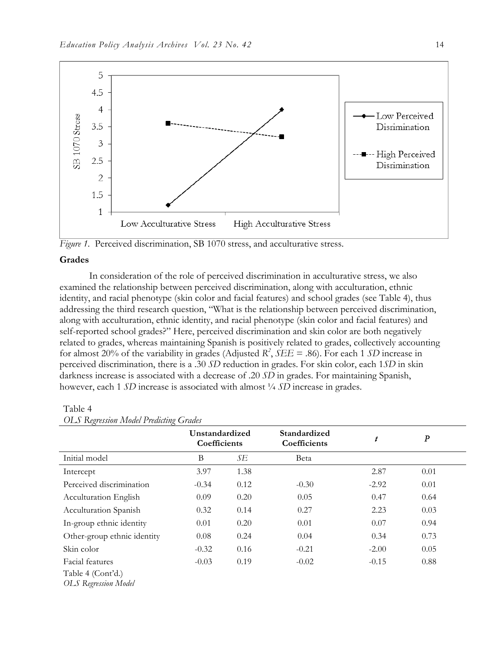

*Figure 1.* Perceived discrimination, SB 1070 stress, and acculturative stress.

#### **Grades**

In consideration of the role of perceived discrimination in acculturative stress, we also examined the relationship between perceived discrimination, along with acculturation, ethnic identity, and racial phenotype (skin color and facial features) and school grades (see Table 4), thus addressing the third research question, "What is the relationship between perceived discrimination, along with acculturation, ethnic identity, and racial phenotype (skin color and facial features) and self-reported school grades?" Here, perceived discrimination and skin color are both negatively related to grades, whereas maintaining Spanish is positively related to grades, collectively accounting for almost 20% of the variability in grades (Adjusted  $R^2$ , *SEE* = .86). For each 1 *SD* increase in perceived discrimination, there is a .30 *SD* reduction in grades. For skin color, each 1*SD* in skin darkness increase is associated with a decrease of .20 *SD* in grades. For maintaining Spanish, however, each 1 *SD* increase is associated with almost <sup>1</sup>/4 *SD* increase in grades.

#### Table 4

| <b>OLS Regression Model Predicting Grades</b> |  |  |  |
|-----------------------------------------------|--|--|--|
|                                               |  |  |  |

|                              | Unstandardized<br>Coefficients |      | Standardized<br>Coefficients | t       | $\boldsymbol{P}$ |
|------------------------------|--------------------------------|------|------------------------------|---------|------------------|
| Initial model                | B                              | SЕ   | <b>B</b> eta                 |         |                  |
| Intercept                    | 3.97                           | 1.38 |                              | 2.87    | 0.01             |
| Perceived discrimination     | $-0.34$                        | 0.12 | $-0.30$                      | $-2.92$ | 0.01             |
| <b>Acculturation English</b> | 0.09                           | 0.20 | 0.05                         | 0.47    | 0.64             |
| <b>Acculturation Spanish</b> | 0.32                           | 0.14 | 0.27                         | 2.23    | 0.03             |
| In-group ethnic identity     | 0.01                           | 0.20 | 0.01                         | 0.07    | 0.94             |
| Other-group ethnic identity  | 0.08                           | 0.24 | 0.04                         | 0.34    | 0.73             |
| Skin color                   | $-0.32$                        | 0.16 | $-0.21$                      | $-2.00$ | 0.05             |
| Facial features              | $-0.03$                        | 0.19 | $-0.02$                      | $-0.15$ | 0.88             |
| Table 4 (Cont'd.)            |                                |      |                              |         |                  |
| <b>OLS</b> Regression Model  |                                |      |                              |         |                  |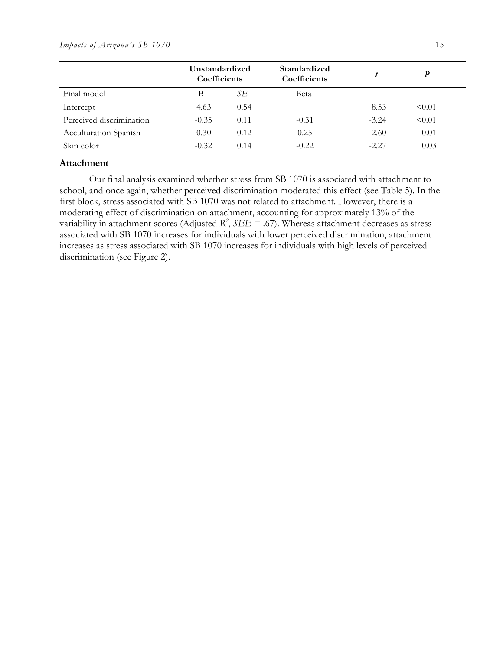|                          | Unstandardized<br>Coefficients |      | Standardized<br>Coefficients |         | P      |  |
|--------------------------|--------------------------------|------|------------------------------|---------|--------|--|
| Final model              | В                              | SЕ   | Beta                         |         |        |  |
| Intercept                | 4.63                           | 0.54 |                              | 8.53    | < 0.01 |  |
| Perceived discrimination | $-0.35$                        | 0.11 | $-0.31$                      | $-3.24$ | < 0.01 |  |
| Acculturation Spanish    | 0.30                           | 0.12 | 0.25                         | 2.60    | 0.01   |  |
| Skin color               | $-0.32$                        | 0.14 | $-0.22$                      | $-2.27$ | 0.03   |  |

### **Attachment**

Our final analysis examined whether stress from SB 1070 is associated with attachment to school, and once again, whether perceived discrimination moderated this effect (see Table 5). In the first block, stress associated with SB 1070 was not related to attachment. However, there is a moderating effect of discrimination on attachment, accounting for approximately 13% of the variability in attachment scores (Adjusted  $R^2$ ,  $SEE = .67$ ). Whereas attachment decreases as stress associated with SB 1070 increases for individuals with lower perceived discrimination, attachment increases as stress associated with SB 1070 increases for individuals with high levels of perceived discrimination (see Figure 2).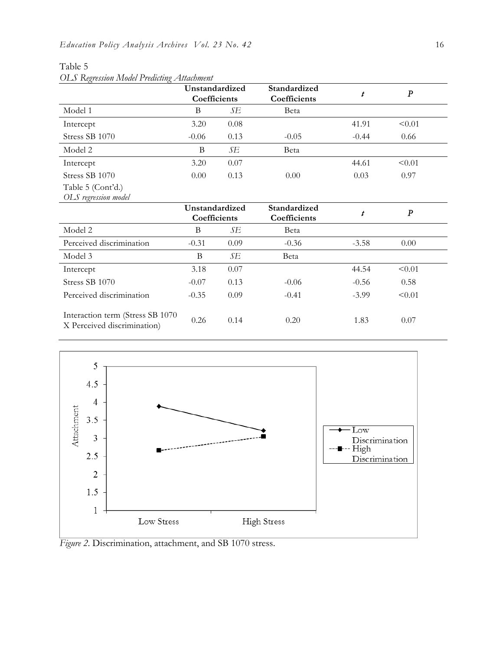|                                           | Unstandardized<br>Coefficients |               | Standardized<br>Coefficients | t       | P      |
|-------------------------------------------|--------------------------------|---------------|------------------------------|---------|--------|
| Model 1                                   | B                              | SЕ            | Beta                         |         |        |
| Intercept                                 | 3.20                           | 0.08          |                              | 41.91   | < 0.01 |
| Stress SB 1070                            | $-0.06$                        | 0.13          | $-0.05$                      | $-0.44$ | 0.66   |
| Model 2                                   | B                              | SЕ            | Beta                         |         |        |
| Intercept                                 | 3.20                           | 0.07          |                              | 44.61   | < 0.01 |
| Stress SB 1070                            | 0.00                           | 0.13          | 0.00                         | 0.03    | 0.97   |
| Table 5 (Cont'd.)<br>OLS regression model |                                |               |                              |         |        |
|                                           | Unstandardized<br>Coefficients |               | Standardized<br>Coefficients | t       | P      |
| Model 2                                   | B                              | SЕ            | Beta                         |         |        |
| Perceived discrimination                  | $-0.31$                        | 0.09          | $-0.36$                      | $-3.58$ | 0.00   |
|                                           |                                | $\sim$ $\sim$ |                              |         |        |

#### Table 5 *OLS Regression Model Predicting Attachment*





*Figure 2*. Discrimination, attachment, and SB 1070 stress.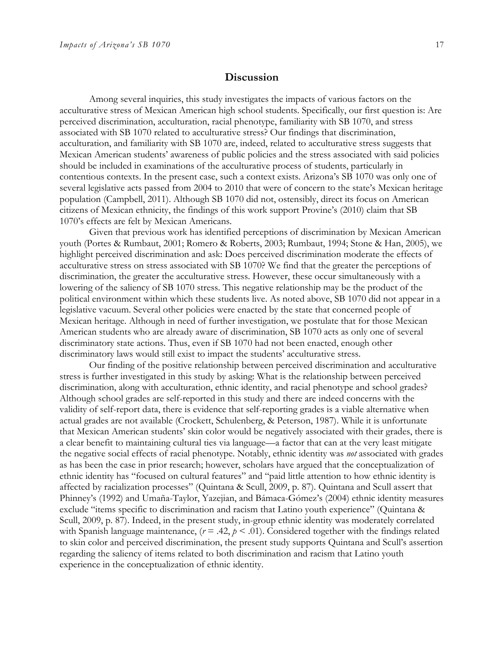## **Discussion**

Among several inquiries, this study investigates the impacts of various factors on the acculturative stress of Mexican American high school students. Specifically, our first question is: Are perceived discrimination, acculturation, racial phenotype, familiarity with SB 1070, and stress associated with SB 1070 related to acculturative stress? Our findings that discrimination, acculturation, and familiarity with SB 1070 are, indeed, related to acculturative stress suggests that Mexican American students' awareness of public policies and the stress associated with said policies should be included in examinations of the acculturative process of students, particularly in contentious contexts. In the present case, such a context exists. Arizona's SB 1070 was only one of several legislative acts passed from 2004 to 2010 that were of concern to the state's Mexican heritage population (Campbell, 2011). Although SB 1070 did not, ostensibly, direct its focus on American citizens of Mexican ethnicity, the findings of this work support Provine's (2010) claim that SB 1070's effects are felt by Mexican Americans.

Given that previous work has identified perceptions of discrimination by Mexican American youth (Portes & Rumbaut, 2001; Romero & Roberts, 2003; Rumbaut, 1994; Stone & Han, 2005), we highlight perceived discrimination and ask: Does perceived discrimination moderate the effects of acculturative stress on stress associated with SB 1070? We find that the greater the perceptions of discrimination, the greater the acculturative stress. However, these occur simultaneously with a lowering of the saliency of SB 1070 stress. This negative relationship may be the product of the political environment within which these students live. As noted above, SB 1070 did not appear in a legislative vacuum. Several other policies were enacted by the state that concerned people of Mexican heritage. Although in need of further investigation, we postulate that for those Mexican American students who are already aware of discrimination, SB 1070 acts as only one of several discriminatory state actions. Thus, even if SB 1070 had not been enacted, enough other discriminatory laws would still exist to impact the students' acculturative stress.

Our finding of the positive relationship between perceived discrimination and acculturative stress is further investigated in this study by asking: What is the relationship between perceived discrimination, along with acculturation, ethnic identity, and racial phenotype and school grades? Although school grades are self-reported in this study and there are indeed concerns with the validity of self-report data, there is evidence that self-reporting grades is a viable alternative when actual grades are not available (Crockett, Schulenberg, & Peterson, 1987). While it is unfortunate that Mexican American students' skin color would be negatively associated with their grades, there is a clear benefit to maintaining cultural ties via language—a factor that can at the very least mitigate the negative social effects of racial phenotype. Notably, ethnic identity was *not* associated with grades as has been the case in prior research; however, scholars have argued that the conceptualization of ethnic identity has "focused on cultural features" and "paid little attention to how ethnic identity is affected by racialization processes" (Quintana & Scull, 2009, p. 87). Quintana and Scull assert that Phinney's (1992) and Umaña-Taylor, Yazejian, and Bámaca-Gómez's (2004) ethnic identity measures exclude "items specific to discrimination and racism that Latino youth experience" (Quintana & Scull, 2009, p. 87). Indeed, in the present study, in-group ethnic identity was moderately correlated with Spanish language maintenance,  $(r = .42, p < .01)$ . Considered together with the findings related to skin color and perceived discrimination, the present study supports Quintana and Scull's assertion regarding the saliency of items related to both discrimination and racism that Latino youth experience in the conceptualization of ethnic identity.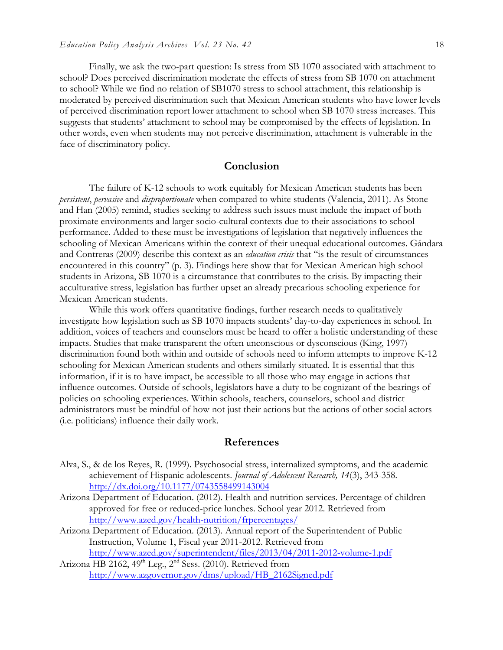Finally, we ask the two-part question: Is stress from SB 1070 associated with attachment to school? Does perceived discrimination moderate the effects of stress from SB 1070 on attachment to school? While we find no relation of SB1070 stress to school attachment, this relationship is moderated by perceived discrimination such that Mexican American students who have lower levels of perceived discrimination report lower attachment to school when SB 1070 stress increases. This suggests that students' attachment to school may be compromised by the effects of legislation. In other words, even when students may not perceive discrimination, attachment is vulnerable in the face of discriminatory policy.

#### **Conclusion**

The failure of K-12 schools to work equitably for Mexican American students has been *persistent*, *pervasive* and *disproportionate* when compared to white students (Valencia, 2011). As Stone and Han (2005) remind, studies seeking to address such issues must include the impact of both proximate environments and larger socio-cultural contexts due to their associations to school performance. Added to these must be investigations of legislation that negatively influences the schooling of Mexican Americans within the context of their unequal educational outcomes. Gándara and Contreras (2009) describe this context as an *education crisis* that "is the result of circumstances encountered in this country" (p. 3). Findings here show that for Mexican American high school students in Arizona, SB 1070 is a circumstance that contributes to the crisis. By impacting their acculturative stress, legislation has further upset an already precarious schooling experience for Mexican American students.

While this work offers quantitative findings, further research needs to qualitatively investigate how legislation such as SB 1070 impacts students' day-to-day experiences in school. In addition, voices of teachers and counselors must be heard to offer a holistic understanding of these impacts. Studies that make transparent the often unconscious or dysconscious (King, 1997) discrimination found both within and outside of schools need to inform attempts to improve K-12 schooling for Mexican American students and others similarly situated. It is essential that this information, if it is to have impact, be accessible to all those who may engage in actions that influence outcomes. Outside of schools, legislators have a duty to be cognizant of the bearings of policies on schooling experiences. Within schools, teachers, counselors, school and district administrators must be mindful of how not just their actions but the actions of other social actors (i.e. politicians) influence their daily work.

## **References**

- Alva, S., & de los Reyes, R. (1999). Psychosocial stress, internalized symptoms, and the academic achievement of Hispanic adolescents. *Journal of Adolescent Research, 14*(3), 343-358. http://dx.doi.org/10.1177/0743558499143004
- Arizona Department of Education. (2012). Health and nutrition services. Percentage of children approved for free or reduced-price lunches. School year 2012. Retrieved from http://www.azed.gov/health-nutrition/frpercentages/
- Arizona Department of Education. (2013). Annual report of the Superintendent of Public Instruction, Volume 1, Fiscal year 2011-2012. Retrieved from http://www.azed.gov/superintendent/files/2013/04/2011-2012-volume-1.pdf
- Arizona HB 2162, 49<sup>th</sup> Leg., 2<sup>nd</sup> Sess. (2010). Retrieved from http://www.azgovernor.gov/dms/upload/HB\_2162Signed.pdf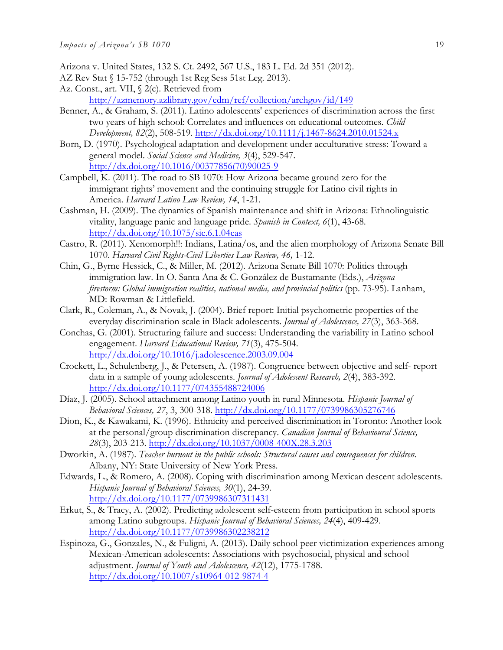- Arizona v. United States, 132 S. Ct. 2492, 567 U.S., 183 L. Ed. 2d 351 (2012).
- AZ Rev Stat § 15-752 (through 1st Reg Sess 51st Leg. 2013).
- Az. Const., art. VII, § 2(c). Retrieved from http://azmemory.azlibrary.gov/cdm/ref/collection/archgov/id/149
- Benner, A., & Graham, S. (2011). Latino adolescents' experiences of discrimination across the first two years of high school: Correlates and influences on educational outcomes. *Child Development, 82*(2), 508-519. http://dx.doi.org/10.1111/j.1467-8624.2010.01524.x
- Born, D. (1970). Psychological adaptation and development under acculturative stress: Toward a general model. *Social Science and Medicine, 3*(4), 529-547. http://dx.doi.org/10.1016/00377856(70)90025-9
- Campbell, K. (2011). The road to SB 1070: How Arizona became ground zero for the immigrant rights' movement and the continuing struggle for Latino civil rights in America. *Harvard Latino Law Review, 14*, 1-21.
- Cashman, H. (2009). The dynamics of Spanish maintenance and shift in Arizona: Ethnolinguistic vitality, language panic and language pride. *Spanish in Context, 6*(1), 43-68. http://dx.doi.org/10.1075/sic.6.1.04cas
- Castro, R. (2011). Xenomorph!!: Indians, Latina/os, and the alien morphology of Arizona Senate Bill 1070. *Harvard Civil Rights-Civil Liberties Law Review, 46,* 1-12.
- Chin, G., Byrne Hessick, C., & Miller, M. (2012). Arizona Senate Bill 1070: Politics through immigration law. In O. Santa Ana & C. González de Bustamante (Eds.), *Arizona firestorm: Global immigration realities, national media, and provincial politics* (pp. 73-95). Lanham, MD: Rowman & Littlefield.
- Clark, R., Coleman, A., & Novak, J. (2004). Brief report: Initial psychometric properties of the everyday discrimination scale in Black adolescents. *Journal of Adolescence, 27*(3), 363-368.
- Conchas, G. (2001). Structuring failure and success: Understanding the variability in Latino school engagement. *Harvard Educational Review, 71*(3), 475-504. http://dx.doi.org/10.1016/j.adolescence.2003.09.004
- Crockett, L., Schulenberg, J., & Petersen, A. (1987). Congruence between objective and self- report data in a sample of young adolescents. *Journal of Adolescent Research, 2*(4), 383-392. http://dx.doi.org/10.1177/074355488724006
- Díaz, J. (2005). School attachment among Latino youth in rural Minnesota. *Hispanic Journal of Behavioral Sciences, 27*, 3, 300-318. http://dx.doi.org/10.1177/0739986305276746
- Dion, K., & Kawakami, K. (1996). Ethnicity and perceived discrimination in Toronto: Another look at the personal/group discrimination discrepancy. *Canadian Journal of Behavioural Science, 28*(3), 203-213. http://dx.doi.org/10.1037/0008-400X.28.3.203
- Dworkin, A. (1987). *Teacher burnout in the public schools: Structural causes and consequences for children.* Albany, NY: State University of New York Press.
- Edwards, L., & Romero, A. (2008). Coping with discrimination among Mexican descent adolescents. *Hispanic Journal of Behavioral Sciences, 30*(1), 24-39. http://dx.doi.org/10.1177/0739986307311431
- Erkut, S., & Tracy, A. (2002). Predicting adolescent self-esteem from participation in school sports among Latino subgroups. *Hispanic Journal of Behavioral Sciences, 24*(4), 409-429. http://dx.doi.org/10.1177/0739986302238212
- Espinoza, G., Gonzales, N., & Fuligni, A. (2013). Daily school peer victimization experiences among Mexican-American adolescents: Associations with psychosocial, physical and school adjustment. *Journal of Youth and Adolescence, 42*(12), 1775-1788. http://dx.doi.org/10.1007/s10964-012-9874-4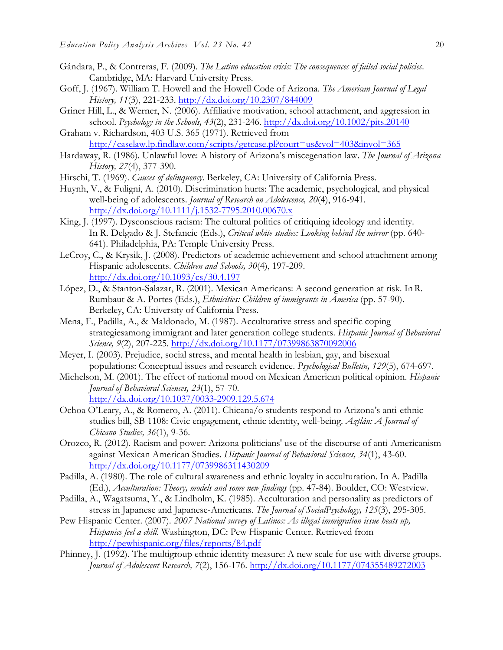- Gándara, P., & Contreras, F. (2009). *The Latino education crisis: The consequences of failed social policies*. Cambridge, MA: Harvard University Press.
- Goff, J. (1967). William T. Howell and the Howell Code of Arizona. *The American Journal of Legal History, 11*(3), 221-233. http://dx.doi.org/10.2307/844009
- Griner Hill, L., & Werner, N. (2006). Affiliative motivation, school attachment, and aggression in school. *Psychology in the Schools, 43*(2), 231-246. http://dx.doi.org/10.1002/pits.20140
- Graham v. Richardson, 403 U.S. 365 (1971). Retrieved from http://caselaw.lp.findlaw.com/scripts/getcase.pl?court=us&vol=403&invol=365
- Hardaway, R. (1986). Unlawful love: A history of Arizona's miscegenation law. *The Journal of Arizona History, 27*(4), 377-390.
- Hirschi, T. (1969). *Causes of delinquency*. Berkeley, CA: University of California Press.
- Huynh, V., & Fuligni, A. (2010). Discrimination hurts: The academic, psychological, and physical well-being of adolescents. *Journal of Research on Adolescence, 20*(4), 916-941. http://dx.doi.org/10.1111/j.1532-7795.2010.00670.x
- King, J. (1997). Dysconscious racism: The cultural politics of critiquing ideology and identity. In R. Delgado & J. Stefancic (Eds.), *Critical white studies: Looking behind the mirror* (pp. 640- 641). Philadelphia, PA: Temple University Press.
- LeCroy, C., & Krysik, J. (2008). Predictors of academic achievement and school attachment among Hispanic adolescents. *Children and Schools, 30*(4), 197-209. http://dx.doi.org/10.1093/cs/30.4.197
- López, D., & Stanton-Salazar, R. (2001). Mexican Americans: A second generation at risk. InR. Rumbaut & A. Portes (Eds.), *Ethnicities: Children of immigrants in America* (pp. 57-90). Berkeley, CA: University of California Press.
- Mena, F., Padilla, A., & Maldonado, M. (1987). Acculturative stress and specific coping strategiesamong immigrant and later generation college students. *Hispanic Journal of Behavioral Science, 9*(2), 207-225. http://dx.doi.org/10.1177/07399863870092006
- Meyer, I. (2003). Prejudice, social stress, and mental health in lesbian, gay, and bisexual populations: Conceptual issues and research evidence. *Psychological Bulletin, 129*(5), 674-697.
- Michelson, M. (2001). The effect of national mood on Mexican American political opinion. *Hispanic Journal of Behavioral Sciences, 23*(1), 57-70. http://dx.doi.org/10.1037/0033-2909.129.5.674
- Ochoa O'Leary, A., & Romero, A. (2011). Chicana/o students respond to Arizona's anti-ethnic studies bill, SB 1108: Civic engagement, ethnic identity, well-being. *Aztlán: A Journal of Chicano Studies, 36*(1), 9-36.
- Orozco, R. (2012). Racism and power: Arizona politicians' use of the discourse of anti-Americanism against Mexican American Studies. *Hispanic Journal of Behavioral Sciences, 34*(1), 43-60. http://dx.doi.org/10.1177/0739986311430209
- Padilla, A. (1980). The role of cultural awareness and ethnic loyalty in acculturation. In A. Padilla (Ed.), *Acculturation: Theory, models and some new findings* (pp. 47-84). Boulder, CO: Westview.
- Padilla, A., Wagatsuma, Y., & Lindholm, K. (1985). Acculturation and personality as predictors of stress in Japanese and Japanese-Americans. *The Journal of SocialPsychology, 125*(3), 295-305.
- Pew Hispanic Center. (2007). *2007 National survey of Latinos: As illegal immigration issue heats up, Hispanics feel a chill*. Washington, DC: Pew Hispanic Center. Retrieved from http://pewhispanic.org/files/reports/84.pdf
- Phinney, J. (1992). The multigroup ethnic identity measure: A new scale for use with diverse groups. *Journal of Adolescent Research, 7*(2), 156-176. http://dx.doi.org/10.1177/074355489272003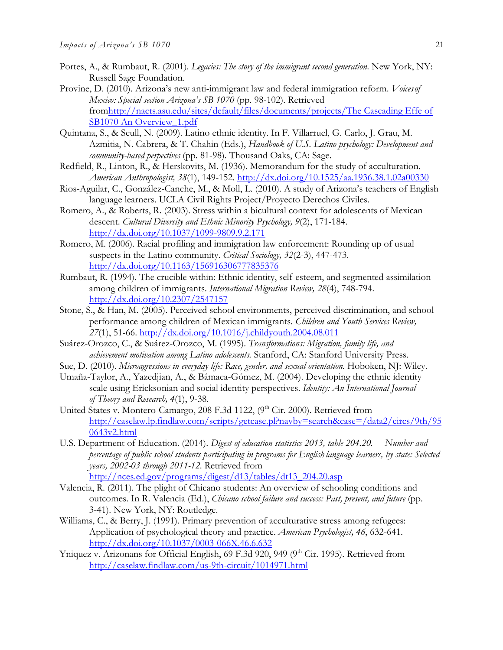- Portes, A., & Rumbaut, R. (2001). *Legacies: The story of the immigrant second generation*. New York, NY: Russell Sage Foundation.
- Provine, D. (2010). Arizona's new anti-immigrant law and federal immigration reform. *Voicesof Mexico: Special section Arizona's SB 1070* (pp. 98-102). Retrieved fromhttp://nacts.asu.edu/sites/default/files/documents/projects/The Cascading Effe of SB1070 An Overview\_1.pdf
- Quintana, S., & Scull, N. (2009). Latino ethnic identity. In F. Villarruel, G. Carlo, J. Grau, M. Azmitia, N. Cabrera, & T. Chahin (Eds.), *Handbook of U.S. Latino psychology: Development and community-based perpectives* (pp. 81-98). Thousand Oaks, CA: Sage.
- Redfield, R., Linton, R., & Herskovits, M. (1936). Memorandum for the study of acculturation. *American Anthropologist, 38*(1), 149-152. http://dx.doi.org/10.1525/aa.1936.38.1.02a00330
- Rios-Aguilar, C., González-Canche, M., & Moll, L. (2010). A study of Arizona's teachers of English language learners. UCLA Civil Rights Project/Proyecto Derechos Civiles.
- Romero, A., & Roberts, R. (2003). Stress within a bicultural context for adolescents of Mexican descent. *Cultural Diversity and Ethnic Minority Psychology, 9*(2), 171-184. http://dx.doi.org/10.1037/1099-9809.9.2.171
- Romero, M. (2006). Racial profiling and immigration law enforcement: Rounding up of usual suspects in the Latino community. *Critical Sociology, 32*(2-3), 447-473. http://dx.doi.org/10.1163/156916306777835376
- Rumbaut, R. (1994). The crucible within: Ethnic identity, self-esteem, and segmented assimilation among children of immigrants. *International Migration Review, 28*(4), 748-794. http://dx.doi.org/10.2307/2547157
- Stone, S., & Han, M. (2005). Perceived school environments, perceived discrimination, and school performance among children of Mexican immigrants. *Children and Youth Services Review, 27*(1), 51-66. http://dx.doi.org/10.1016/j.childyouth.2004.08.011
- Suárez-Orozco, C., & Suárez-Orozco, M. (1995). *Transformations: Migration, family life, and achievement motivation among Latino adolescents.* Stanford, CA: Stanford University Press.
- Sue, D. (2010). *Microagressions in everyday life: Race, gender, and sexual orientation.* Hoboken, NJ: Wiley.
- Umaña-Taylor, A., Yazedjian, A., & Bámaca-Gómez, M. (2004). Developing the ethnic identity scale using Ericksonian and social identity perspectives. *Identity: An International Journal of Theory and Research, 4*(1), 9-38.
- United States v. Montero-Camargo, 208 F.3d 1122, (9<sup>th</sup> Cir. 2000). Retrieved from http://caselaw.lp.findlaw.com/scripts/getcase.pl?navby=search&case=/data2/circs/9th/95 0643v2.html
- U.S. Department of Education. (2014). *Digest of education statistics 2013, table 204.20. Number and percentage of public school students participating in programs for English language learners, by state: Selected years, 2002-03 through 2011-12*. Retrieved from http://nces.ed.gov/programs/digest/d13/tables/dt13\_204.20.asp
- Valencia, R. (2011). The plight of Chicano students: An overview of schooling conditions and outcomes. In R. Valencia (Ed.), *Chicano school failure and success: Past, present, and future* (pp. 3-41). New York, NY: Routledge.
- Williams, C., & Berry, J. (1991). Primary prevention of acculturative stress among refugees: Application of psychological theory and practice. *American Psychologist, 46*, 632-641. http://dx.doi.org/10.1037/0003-066X.46.6.632
- Yniquez v. Arizonans for Official English, 69 F.3d 920, 949 (9<sup>th</sup> Cir. 1995). Retrieved from http://caselaw.findlaw.com/us-9th-circuit/1014971.html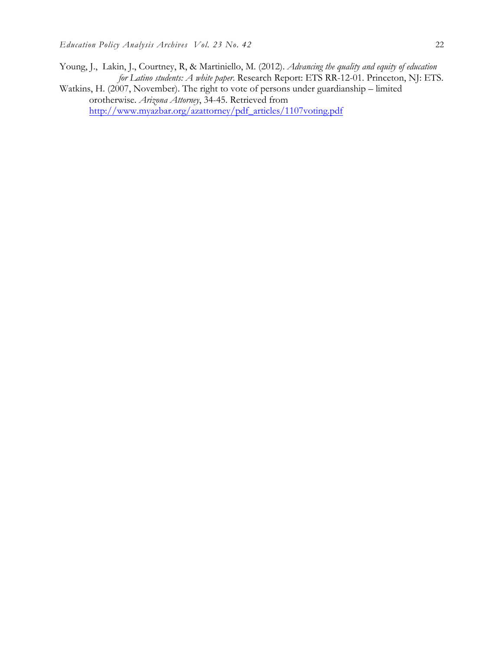- Young, J., Lakin, J., Courtney, R, & Martiniello, M. (2012). *Advancing the quality and equity of education for Latino students: A white paper*. Research Report: ETS RR-12-01. Princeton, NJ: ETS.
- Watkins, H. (2007, November). The right to vote of persons under guardianship limited orotherwise. *Arizona Attorney*, 34-45. Retrieved from http://www.myazbar.org/azattorney/pdf\_articles/1107voting.pdf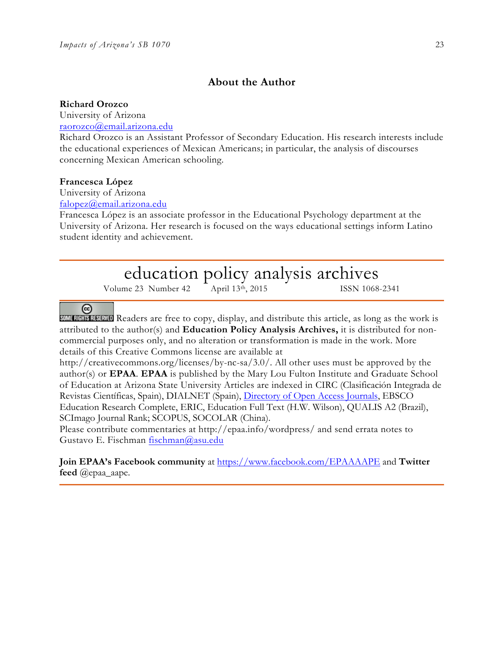## **About the Author**

### **Richard Orozco**

University of Arizona raorozco@email.arizona.edu

Richard Orozco is an Assistant Professor of Secondary Education. His research interests include the educational experiences of Mexican Americans; in particular, the analysis of discourses concerning Mexican American schooling.

### **Francesca López**

University of Arizona

falopez@email.arizona.edu

Francesca López is an associate professor in the Educational Psychology department at the University of Arizona. Her research is focused on the ways educational settings inform Latino student identity and achievement.

# education policy analysis archives

Volume 23 Number 42 April 13th, 2015 ISSN 1068-2341

#### (cc)

SOME RIGHTS RESERVED Readers are free to copy, display, and distribute this article, as long as the work is attributed to the author(s) and **Education Policy Analysis Archives,** it is distributed for noncommercial purposes only, and no alteration or transformation is made in the work. More details of this Creative Commons license are available at

http://creativecommons.org/licenses/by-nc-sa/3.0/. All other uses must be approved by the author(s) or **EPAA**. **EPAA** is published by the Mary Lou Fulton Institute and Graduate School of Education at Arizona State University Articles are indexed in CIRC (Clasificación Integrada de Revistas Científicas, Spain), DIALNET (Spain), Directory of Open Access Journals, EBSCO Education Research Complete, ERIC, Education Full Text (H.W. Wilson), QUALIS A2 (Brazil), SCImago Journal Rank; SCOPUS, SOCOLAR (China).

Please contribute commentaries at http://epaa.info/wordpress/ and send errata notes to Gustavo E. Fischman fischman@asu.edu

**Join EPAA's Facebook community** at https://www.facebook.com/EPAAAAPE and **Twitter feed** @epaa\_aape.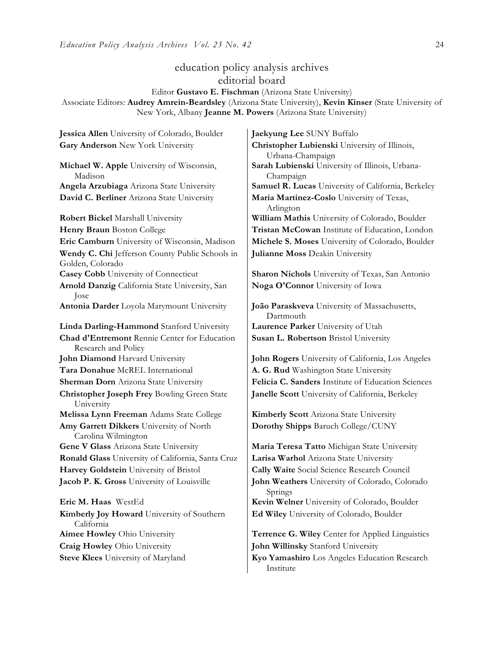## education policy analysis archives editorial board

Editor **Gustavo E. Fischman** (Arizona State University) Associate Editors: **Audrey Amrein-Beardsley** (Arizona State University), **Kevin Kinser** (State University of New York, Albany **Jeanne M. Powers** (Arizona State University)

**Jessica Allen** University of Colorado, Boulder **Jaekyung Lee** SUNY Buffalo **Gary Anderson** New York University **Christopher Lubienski** University of Illinois, Urbana-Champaign **Michael W. Apple** University of Wisconsin, Madison Champaign **Angela Arzubiaga** Arizona State University **Samuel R. Lucas** University of California, Berkeley **David C. Berliner** Arizona State University **Maria Martinez-Coslo** University of Texas, Arlington **Robert Bickel** Marshall University **William Mathis** University of Colorado, Boulder **Henry Braun** Boston College **Tristan McCowan** Institute of Education, London **Eric Camburn** University of Wisconsin, Madison **Michele S. Moses** University of Colorado, Boulder **Wendy C. Chi** Jefferson County Public Schools in Golden, Colorado **Julianne Moss** Deakin University **Casey Cobb** University of Connecticut **Sharon Nichols** University of Texas, San Antonio **Arnold Danzig** California State University, San Jose **Noga O'Connor** University of Iowa **Antonia Darder** Loyola Marymount University **João Paraskveva** University of Massachusetts, Dartmouth **Linda Darling-Hammond** Stanford University **Laurence Parker** University of Utah **Chad d'Entremont** Rennie Center for Education Research and Policy **Susan L. Robertson** Bristol University **John Diamond** Harvard University **John Rogers** University of California, Los Angeles **Tara Donahue** McREL International **A. G. Rud** Washington State University **Sherman Dorn** Arizona State University **Felicia C. Sanders** Institute of Education Sciences **Christopher Joseph Frey** Bowling Green State University **Melissa Lynn Freeman** Adams State College **Kimberly Scott** Arizona State University **Amy Garrett Dikkers** University of North Carolina Wilmington **Gene V Glass** Arizona State University **Maria Teresa Tatto** Michigan State University **Ronald Glass** University of California, Santa Cruz **Larisa Warhol** Arizona State University **Harvey Goldstein** University of Bristol **Cally Waite** Social Science Research Council **Jacob P. K. Gross** University of Louisville **John Weathers** University of Colorado, Colorado Springs **Eric M. Haas** WestEd **Kevin Welner** University of Colorado, Boulder **Kimberly Joy Howard** University of Southern California **Ed Wiley** University of Colorado, Boulder **Aimee Howley** Ohio University **Terrence G. Wiley** Center for Applied Linguistics **Craig Howley** Ohio University **John Willinsky** Stanford University

**Sarah Lubienski** University of Illinois, Urbana-

**Janelle Scott** University of California, Berkeley

**Dorothy Shipps** Baruch College/CUNY

**Steve Klees** University of Maryland **Kyo Yamashiro** Los Angeles Education Research Institute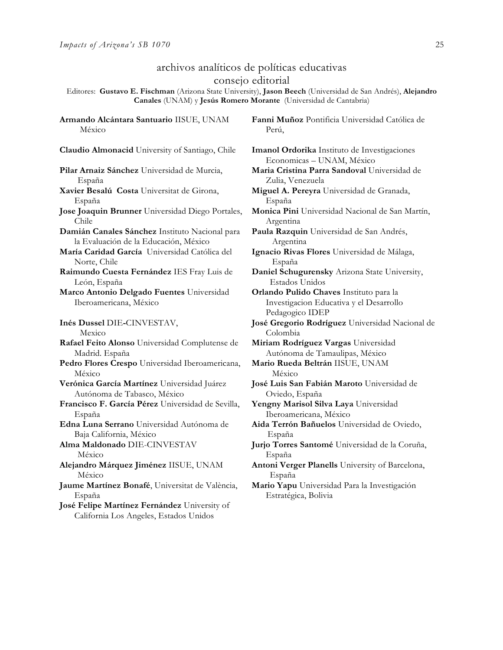# archivos analíticos de políticas educativas

consejo editorial

Editores: **Gustavo E. Fischman** (Arizona State University), **Jason Beech** (Universidad de San Andrés), **Alejandro Canales** (UNAM) y **Jesús Romero Morante** (Universidad de Cantabria)

**Armando Alcántara Santuario** IISUE, UNAM México

**Claudio Almonacid** University of Santiago, Chile **Imanol Ordorika** Instituto de Investigaciones

**Pilar Arnaiz Sánchez** Universidad de Murcia, España

**Xavier Besalú Costa** Universitat de Girona, España

**Jose Joaquin Brunner** Universidad Diego Portales, Chile

**Damián Canales Sánchez** Instituto Nacional para la Evaluación de la Educación, México

**María Caridad García** Universidad Católica del Norte, Chile

**Raimundo Cuesta Fernández** IES Fray Luis de León, España

**Marco Antonio Delgado Fuentes** Universidad Iberoamericana, México

**Inés Dussel** DIE**-**CINVESTAV, Mexico

**Rafael Feito Alonso** Universidad Complutense de Madrid. España

**Pedro Flores Crespo** Universidad Iberoamericana, México

**Verónica García Martínez** Universidad Juárez Autónoma de Tabasco, México

**Francisco F. García Pérez** Universidad de Sevilla, España

**Edna Luna Serrano** Universidad Autónoma de Baja California, México

**Alma Maldonado** DIE-CINVESTAV México

**Alejandro Márquez Jiménez** IISUE, UNAM México

**Jaume Martínez Bonafé**, Universitat de València, España

**José Felipe Martínez Fernández** University of California Los Angeles, Estados Unidos

**Fanni Muñoz** Pontificia Universidad Católica de Perú,

Economicas – UNAM, México

**Maria Cristina Parra Sandoval** Universidad de Zulia, Venezuela

**Miguel A. Pereyra** Universidad de Granada, España

**Monica Pini** Universidad Nacional de San Martín, Argentina

**Paula Razquin** Universidad de San Andrés, Argentina

**Ignacio Rivas Flores** Universidad de Málaga, España

**Daniel Schugurensky** Arizona State University, Estados Unidos

**Orlando Pulido Chaves** Instituto para la Investigacion Educativa y el Desarrollo Pedagogico IDEP

**José Gregorio Rodríguez** Universidad Nacional de Colombia

**Miriam Rodríguez Vargas** Universidad Autónoma de Tamaulipas, México

**Mario Rueda Beltrán** IISUE, UNAM México

**José Luis San Fabián Maroto** Universidad de Oviedo, España

**Yengny Marisol Silva Laya** Universidad Iberoamericana, México

**Aida Terrón Bañuelos** Universidad de Oviedo, España

**Jurjo Torres Santomé** Universidad de la Coruña, España

**Antoni Verger Planells** University of Barcelona, España

**Mario Yapu** Universidad Para la Investigación Estratégica, Bolivia